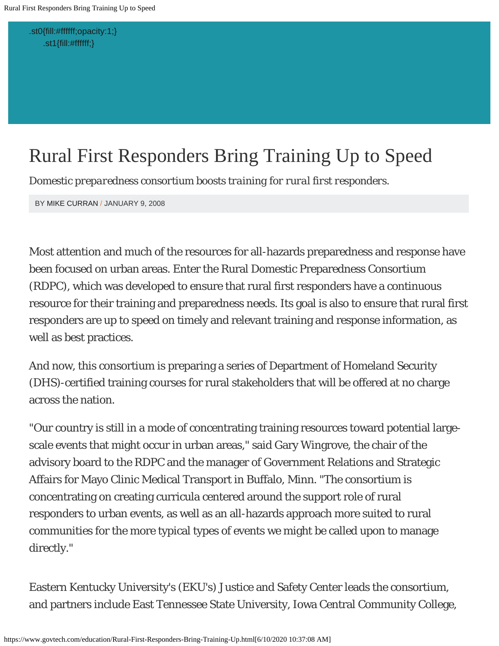<span id="page-0-0"></span>[.st0{fill:#ffffff;opacity:1;}](https://www.govtech.com/education) [.st1{fill:#ffffff;}](https://www.govtech.com/education)

# Rural First Responders Bring Training Up to Speed

*Domestic preparedness consortium boosts training for rural first responders.*

BY [MIKE CURRAN](https://www.govtech.com/authors/98565084.html) / JANUARY 9, 2008

Most attention and much of the resources for all-hazards preparedness and response have been focused on urban areas. Enter the Rural Domestic Preparedness Consortium (RDPC), which was developed to ensure that rural first responders have a continuous resource for their training and preparedness needs. Its goal is also to ensure that rural first responders are up to speed on timely and relevant training and response information, as well as best practices.

And now, this consortium is preparing a series of Department of Homeland Security (DHS)-certified training courses for rural stakeholders that will be offered at no charge across the nation.

"Our country is still in a mode of concentrating training resources toward potential largescale events that might occur in urban areas," said Gary Wingrove, the chair of the advisory board to the RDPC and the manager of Government Relations and Strategic Affairs for Mayo Clinic Medical Transport in Buffalo, Minn. "The consortium is concentrating on creating curricula centered around the support role of rural responders to urban events, as well as an all-hazards approach more suited to rural communities for the more typical types of events we might be called upon to manage directly."

Eastern Kentucky University's (EKU's) Justice and Safety Center leads the consortium, and partners include East Tennessee State University, Iowa Central Community College,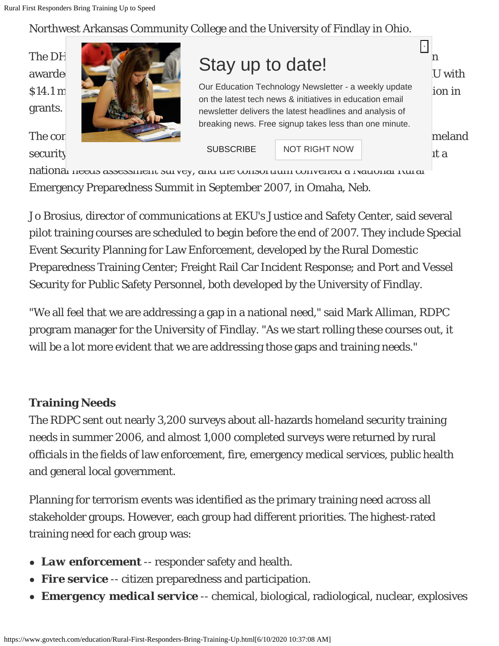# Northwest Arkansas Community College and the University of Findlay in Ohio.

grants.



The construction of business was to identify gaps was to identify gaps in the meland

\$14.1 million since fiscal year 2004, and European State for a structure for a weekly update for in on the latest tech news & initiatives in education email newsletter delivers the latest headlines and analysis of breaking news. Free signup takes less than one minute.

 $\text{security}$  and  $\text{security}$  a regional formulation  $\text{security}$  and  $\text{security}$  and  $\text{security}$ [SUBSCRIBE](https://cms.erepublic.com/common/forms/ajax_form/265?refId=265&refOb=newsletterflyin) | [NOT RIGHT NOW](https://cms.erepublic.com/common/dynamic_modules/newsletter_nag_dont_bother_me?newsletter_id=265)

**×** ×

national needs assessment survey, and the consortium convened a National Rural Emergency Preparedness Summit in September 2007, in Omaha, Neb.

Jo Brosius, director of communications at EKU's Justice and Safety Center, said several pilot training courses are scheduled to begin before the end of 2007. They include Special Event Security Planning for Law Enforcement, developed by the Rural Domestic Preparedness Training Center; Freight Rail Car Incident Response; and Port and Vessel Security for Public Safety Personnel, both developed by the University of Findlay.

"We all feel that we are addressing a gap in a national need," said Mark Alliman, RDPC program manager for the University of Findlay. "As we start rolling these courses out, it will be a lot more evident that we are addressing those gaps and training needs."

### **Training Needs**

The RDPC sent out nearly 3,200 surveys about all-hazards homeland security training needs in summer 2006, and almost 1,000 completed surveys were returned by rural officials in the fields of law enforcement, fire, emergency medical services, public health and general local government.

Planning for terrorism events was identified as the primary training need across all stakeholder groups. However, each group had different priorities. The highest-rated training need for each group was:

- *Law enforcement* -- responder safety and health.
- *Fire service* -- citizen preparedness and participation.
- *Emergency medical service* -- chemical, biological, radiological, nuclear, explosives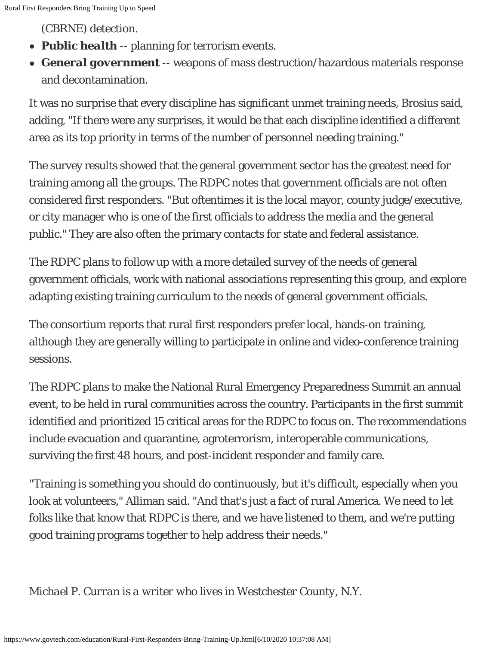(CBRNE) detection.

- *Public health* -- planning for terrorism events.
- *General government* -- weapons of mass destruction/hazardous materials response and decontamination.

It was no surprise that every discipline has significant unmet training needs, Brosius said, adding, "If there were any surprises, it would be that each discipline identified a different area as its top priority in terms of the number of personnel needing training."

The survey results showed that the general government sector has the greatest need for training among all the groups. The RDPC notes that government officials are not often considered first responders. "But oftentimes it is the local mayor, county judge/executive, or city manager who is one of the first officials to address the media and the general public." They are also often the primary contacts for state and federal assistance.

The RDPC plans to follow up with a more detailed survey of the needs of general government officials, work with national associations representing this group, and explore adapting existing training curriculum to the needs of general government officials.

The consortium reports that rural first responders prefer local, hands-on training, although they are generally willing to participate in online and video-conference training sessions.

The RDPC plans to make the National Rural Emergency Preparedness Summit an annual event, to be held in rural communities across the country. Participants in the first summit identified and prioritized 15 critical areas for the RDPC to focus on. The recommendations include evacuation and quarantine, agroterrorism, interoperable communications, surviving the first 48 hours, and post-incident responder and family care.

"Training is something you should do continuously, but it's difficult, especially when you look at volunteers," Alliman said. "And that's just a fact of rural America. We need to let folks like that know that RDPC is there, and we have listened to them, and we're putting good training programs together to help address their needs."

#### *Michael P. Curran is a writer who lives in Westchester County, N.Y.*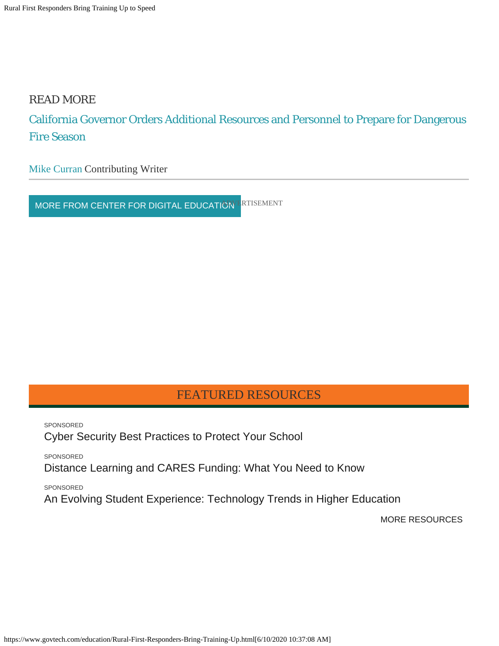#### READ MORE

## [California Governor Orders Additional Resources and Personnel to Prepare for Dangerous](https://www.govtech.com/public-safety/California-Governor-Orders-Additional-Resources-and-Personnel_to_Prepare_for_Dangerous_Fire_Season.html) [Fire Season](https://www.govtech.com/public-safety/California-Governor-Orders-Additional-Resources-and-Personnel_to_Prepare_for_Dangerous_Fire_Season.html)

[Mike Curran](https://www.govtech.com/authors/98565084.html) Contributing Writer

[MORE FROM CENTER FOR DIGITAL EDUCATION](https://www.govtech.com/education) FRIISEMENT

#### FEATURED RESOURCES

SPONSORED [Cyber Security Best Practices to Protect Your School](https://cms.erepublic.com/common/dynamic_modules/pass_through/129180?promo_code=gt_papers_education)

SPONSORED

[Distance Learning and CARES Funding: What You Need to Know](https://cms.erepublic.com/common/dynamic_modules/pass_through/128819?promo_code=gt_papers_education)

SPONSORED

[An Evolving Student Experience: Technology Trends in Higher Education](https://cms.erepublic.com/common/dynamic_modules/pass_through/128753?promo_code=gt_papers_education)

[MORE RESOURCES](https://www.govtech.com/paper)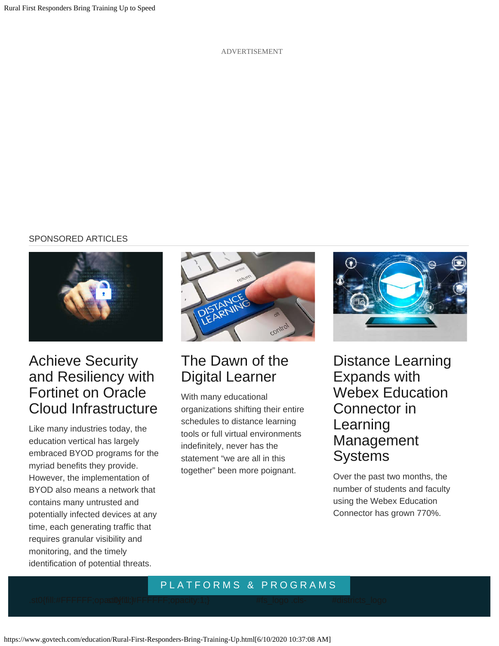ADVERTISEMENT

#### SPONSORED ARTICLES



# [Achieve Security](https://www.govtech.com/education/higher-ed/Achieve-Security-and-Resiliency-with-Fortinet-on-Oracle-Cloud-Infrastructure.html?promo_code=article) [and Resiliency with](https://www.govtech.com/education/higher-ed/Achieve-Security-and-Resiliency-with-Fortinet-on-Oracle-Cloud-Infrastructure.html?promo_code=article) [Fortinet on Oracle](https://www.govtech.com/education/higher-ed/Achieve-Security-and-Resiliency-with-Fortinet-on-Oracle-Cloud-Infrastructure.html?promo_code=article) [Cloud Infrastructure](https://www.govtech.com/education/higher-ed/Achieve-Security-and-Resiliency-with-Fortinet-on-Oracle-Cloud-Infrastructure.html?promo_code=article)

Like many industries today, the education vertical has largely embraced BYOD programs for the myriad benefits they provide. However, the implementation of BYOD also means a network that contains many untrusted and potentially infected devices at any time, each generating traffic that requires granular visibility and monitoring, and the timely identification of potential threats.



# [The Dawn of the](https://www.govtech.com/education/news/The-Dawn-of-the-Digital-Learner.html?promo_code=article) [Digital Learner](https://www.govtech.com/education/news/The-Dawn-of-the-Digital-Learner.html?promo_code=article)

With many educational organizations shifting their entire schedules to distance learning tools or full virtual environments indefinitely, never has the statement "we are all in this together" been more poignant.



[Distance Learning](https://www.govtech.com/education/news/Distance-Learning-Expands-with-Webex-Education-Connector-in-Learning-Management-Systems.html?promo_code=article) [Expands with](https://www.govtech.com/education/news/Distance-Learning-Expands-with-Webex-Education-Connector-in-Learning-Management-Systems.html?promo_code=article) [Webex Education](https://www.govtech.com/education/news/Distance-Learning-Expands-with-Webex-Education-Connector-in-Learning-Management-Systems.html?promo_code=article) [Connector in](https://www.govtech.com/education/news/Distance-Learning-Expands-with-Webex-Education-Connector-in-Learning-Management-Systems.html?promo_code=article) [Learning](https://www.govtech.com/education/news/Distance-Learning-Expands-with-Webex-Education-Connector-in-Learning-Management-Systems.html?promo_code=article) [Management](https://www.govtech.com/education/news/Distance-Learning-Expands-with-Webex-Education-Connector-in-Learning-Management-Systems.html?promo_code=article) **[Systems](https://www.govtech.com/education/news/Distance-Learning-Expands-with-Webex-Education-Connector-in-Learning-Management-Systems.html?promo_code=article)** 

Over the past two months, the number of students and faculty using the Webex Education Connector has grown 770%.

#### PLATFORMS & PROGRAMS